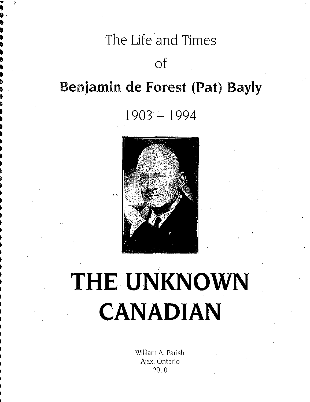# The Life and Times  $\overline{\phantom{a}}$ Benjamin de Forest (Pat) Bayly **<sup>t</sup>**1903 \_· 1994

–<br>१<br>१  $\bullet$  12

•<br>•<br>• i,

•<br>•<br>•

•<br>•<br>• g)

~ i. **t** 

•<br>•<br>•

•<br>•<br>• **t** 

•<br>•<br>•

•<br>•<br>• ~

~ ~ Į.

P.<br>N • Į. I I I ŗ. ŗ. I I ŗ.

ŗ.



# <sup>I</sup>**THE UNKNOWN CANADIAN**

William A. Parish Ajax, Ontario 2010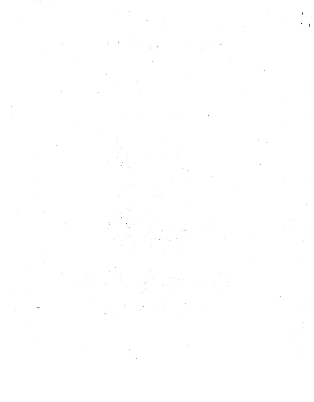$\label{eq:2.1} \frac{1}{\sqrt{2}}\sum_{i=1}^n\frac{1}{\sqrt{2\pi}}\sum_{i=1}^n\frac{1}{\sqrt{2\pi}}\sum_{i=1}^n\frac{1}{\sqrt{2\pi}}\sum_{i=1}^n\frac{1}{\sqrt{2\pi}}\sum_{i=1}^n\frac{1}{\sqrt{2\pi}}\sum_{i=1}^n\frac{1}{\sqrt{2\pi}}\sum_{i=1}^n\frac{1}{\sqrt{2\pi}}\sum_{i=1}^n\frac{1}{\sqrt{2\pi}}\sum_{i=1}^n\frac{1}{\sqrt{2\pi}}\sum_{i=1}^n\frac{$ 

 $\label{eq:2.1} \frac{d\mathbf{r}}{dt} = \frac{1}{2} \sum_{i=1}^n \frac{d\mathbf{r}}{dt} \mathbf{r}_i \mathbf{r}_i \mathbf{r}_i \mathbf{r}_i$ 

 $\mathcal{A}(\mathcal{C})$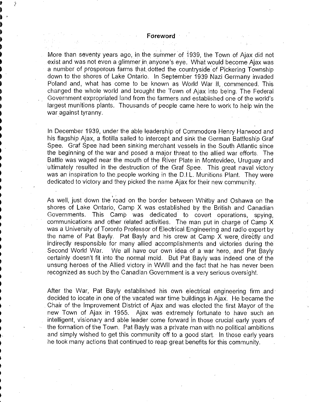#### **Foreword**

More than seventy years ago, in the summer of 1939, the Town of Ajax did not exist and was not even a glimmer in anyone's eye. What would become Ajax was a number of prosperous farms that dotted the countryside of Pickering Township down to the shores of Lake Ontario. In September 1939 Nazi Germany invaded Poland and, what has come to be known as World War 11, commenced. This changed the whole world and brought the Town of Ajax into being. The Federal Government expropriated land from the farmers and established one of the world's largest munitions plants. Thousands of people came here to work to help win the war against tyranny.

In December 1939, under the able leadership of Commodore Henry Harwood and his flagship Ajax, a flotilla sailed to intercept and sink the German Battleship Graf Spee. Graf Spee had been sinking merchant vessels in the South Atlantic since the beginning of the war and posed a major threat to the allied war efforts. The Battle was waged near the mouth of the River Plate in Montevideo, Uruguay and ultimately resulted in the destruction of the Graf Spee. This great naval victory was an inspiration to the people working in the D.I.L. Munitions Plant. They were dedicated to victory and they picked the name Ajax for their new community.

As well, just down the 'road on the border between Whitby and Oshawa on the shores of Lake Ontario, Camp X was established by the British and Canadian Governments. This Camp was dedicated to covert operations, spying, communications and other related activities. The man put in charge of Camp X was a University of Toronto Professor of Electrical Engineering and radio expert by the name of Pat Bayly. Pat Bayly and his crew at Camp X were directly and indirectly responsible for many allied accomplishments and victories during the Second World War. We all have our own idea of a war hero, and Pat Bayly certainly doesn't fit into the normal mold. But Pat Bayly was indeed one of the unsung heroes of the Allied victory in WWII and the fact that he has never been recognized as such by the Canadian Government is a very serious oversight.

After the War, Pat Bayly established his own electrical engineering firm and· decided to locate in one of the vacated war time buildings in Ajax. He became the Chair of the Improvement District of Ajax and was elected the first Mayor of the new Town of Ajax in 1955. Ajax was extremely fortunate to have such an intelligent, visionary and able leader come forward in those crucial early years of the formation of the Town. Pat Bayly was a private man with no political ambitions and simply wished to get this community off to a good start.· In those early years he took many actions that continued to reap great benefits for this community.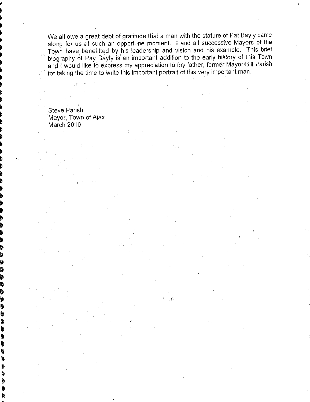We all owe a great debt of gratitude that a man with the stature of Pat Bayly came along for us at such an opportune moment. I and all successive Mayors of the Town have benefitted by his leadership and vision and his example. This brief biography of Pay Bayly is an important addition to the early history of this Town and I would like to express my appreciation to my father, former Mayor Bill Parish for taking the time to write this important portrait of this very important man.

 $\mathcal{L}^{\text{max}}_{\text{max}}$  and  $\mathcal{L}^{\text{max}}_{\text{max}}$ 

 $\sim 10^{11}$  M  $_\odot$ 

 $\label{eq:2.1} \frac{1}{\sqrt{2}}\left(\frac{1}{\sqrt{2}}\right)^2\left(\frac{1}{\sqrt{2}}\right)^2\left(\frac{1}{\sqrt{2}}\right)^2\left(\frac{1}{\sqrt{2}}\right)^2\left(\frac{1}{\sqrt{2}}\right)^2\left(\frac{1}{\sqrt{2}}\right)^2\left(\frac{1}{\sqrt{2}}\right)^2\left(\frac{1}{\sqrt{2}}\right)^2\left(\frac{1}{\sqrt{2}}\right)^2\left(\frac{1}{\sqrt{2}}\right)^2\left(\frac{1}{\sqrt{2}}\right)^2\left(\frac{1}{\sqrt{2}}\right)^2\left(\frac{1}{\sqrt$ 

 $\label{eq:2.1} \mathcal{L}^{\mathcal{L}}(\mathcal{L}^{\mathcal{L}}) = \mathcal{L}^{\mathcal{L}}(\mathcal{L}^{\mathcal{L}}) = \mathcal{L}^{\mathcal{L}}(\mathcal{L}^{\mathcal{L}})$ 

**Contract** 

## Steve Parish Mayor, Town of Ajax March 2010

 $\label{eq:2.1} \frac{1}{\sqrt{2\pi}}\int_{0}^{\infty}\frac{1}{\sqrt{2\pi}}\left(\frac{1}{\sqrt{2\pi}}\right)^{2\pi} \frac{1}{\sqrt{2\pi}}\int_{0}^{\infty}\frac{1}{\sqrt{2\pi}}\left(\frac{1}{\sqrt{2\pi}}\right)^{2\pi}\frac{1}{\sqrt{2\pi}}\frac{1}{\sqrt{2\pi}}\int_{0}^{\infty}\frac{1}{\sqrt{2\pi}}\frac{1}{\sqrt{2\pi}}\frac{1}{\sqrt{2\pi}}\frac{1}{\sqrt{2\pi}}\frac{1}{\sqrt{2\pi}}\frac{1}{\sqrt{2$ 

propriate the company of the company

**Participa** 

 $\label{eq:1} \left\langle \left\langle \hat{r}_{\alpha} \right\rangle \right\rangle = \left\langle \left\langle \hat{r}_{\alpha} \right\rangle \right\rangle ^{2}$ 

 $\Delta \sim 10^{11}$  and  $\Delta \sim 10^{11}$  $\mu_{\rm{max}}$  and  $\mu_{\rm{max}}$  $\mathcal{L}_{\text{max}}$  and  $\mathcal{L}_{\text{max}}$  and  $\mathcal{L}_{\text{max}}$  $\mathcal{L}_{\rm{max}}$  ,  $\mathcal{L}_{\rm{max}}$  ,  $\mathcal{L}_{\rm{max}}$  $\mathbf{r}$  $\mathcal{L}_{\text{M}_2}$  , we can consider the in 19  $\mathcal{A}_\mathrm{d}$  , where  $\mathcal{A}_\mathrm{d}$ 

 $\mathcal{L}^{\text{max}}_{\text{max}}$ 

 $\mathcal{L}_{\text{max}}$  , we can also as  $\mathcal{L}_{\text{max}}$ 

 $\epsilon = \frac{1}{2} \frac{1}{2}$  .  $\sqrt{16}$  ,  $\gamma$  $\mathcal{L}$ 

 $\label{eq:1} \frac{1}{\sqrt{2\pi}}\left(\frac{1}{\sqrt{2\pi}}\right)^{2}\left(\frac{1}{\sqrt{2\pi}}\right)^{2}$ astronomic state and the 机磷酸氢 医心包  $\label{eq:2} \mathbf{E}_{\mathbf{z}} = \mathbf{E}_{\mathbf{z}} \left[ \begin{array}{cc} \mathbf{E}_{\mathbf{z}} \\ \mathbf{E}_{\mathbf{z}} \end{array} \right] \begin{array}{ll} \mathbf{E}_{\mathbf{z}} \\ \mathbf{E}_{\mathbf{z}} \end{array}$  $\hat{A}^{(1)}$  and  $\hat{A}^{(2)}$  $\label{eq:2.1} \frac{1}{\sqrt{2}}\left(\frac{1}{\sqrt{2}}\right)^{2} \left(\frac{1}{\sqrt{2}}\right)^{2} \left(\frac{1}{\sqrt{2}}\right)^{2} \left(\frac{1}{\sqrt{2}}\right)^{2} \left(\frac{1}{\sqrt{2}}\right)^{2} \left(\frac{1}{\sqrt{2}}\right)^{2} \left(\frac{1}{\sqrt{2}}\right)^{2} \left(\frac{1}{\sqrt{2}}\right)^{2} \left(\frac{1}{\sqrt{2}}\right)^{2} \left(\frac{1}{\sqrt{2}}\right)^{2} \left(\frac{1}{\sqrt{2}}\right)^{2} \left(\$  $\label{eq:1} \frac{1}{\sqrt{2}}\sum_{i=1}^n\sum_{j=1}^n\frac{1}{j!}\sum_{j=1}^n\sum_{j=1}^n\frac{1}{j!}\sum_{j=1}^n\sum_{j=1}^n\frac{1}{j!}\sum_{j=1}^n\frac{1}{j!}\sum_{j=1}^n\frac{1}{j!}\sum_{j=1}^n\frac{1}{j!}\sum_{j=1}^n\frac{1}{j!}\sum_{j=1}^n\frac{1}{j!}\sum_{j=1}^n\frac{1}{j!}\sum_{j=1}^n\frac{1}{j!}\sum_{j=1}^n\frac{1}{j!$  $\sim 10^{11}$  m  $^{-1}$  $\sim 10^{11}$  $\label{eq:2.1} \frac{1}{\sqrt{2}}\left(\frac{1}{\sqrt{2}}\right)^{2} \left(\frac{1}{\sqrt{2}}\right)^{2} \left(\frac{1}{\sqrt{2}}\right)^{2} \left(\frac{1}{\sqrt{2}}\right)^{2} \left(\frac{1}{\sqrt{2}}\right)^{2} \left(\frac{1}{\sqrt{2}}\right)^{2} \left(\frac{1}{\sqrt{2}}\right)^{2} \left(\frac{1}{\sqrt{2}}\right)^{2} \left(\frac{1}{\sqrt{2}}\right)^{2} \left(\frac{1}{\sqrt{2}}\right)^{2} \left(\frac{1}{\sqrt{2}}\right)^{2} \left(\$  $\label{eq:2.1} \frac{1}{2} \int_{\mathbb{R}^3} \left| \frac{1}{\sqrt{2}} \left( \frac{1}{\sqrt{2}} \right) \right|^2 \, d\mu = \frac{1}{2} \int_{\mathbb{R}^3} \left| \frac{1}{\sqrt{2}} \left( \frac{1}{\sqrt{2}} \right) \right|^2 \, d\mu = \frac{1}{2} \int_{\mathbb{R}^3} \left| \frac{1}{\sqrt{2}} \right|^2 \, d\mu = \frac{1}{2} \int_{\mathbb{R}^3} \left| \frac{1}{\sqrt{2}} \right|^2 \, d\mu = \frac{1}{2} \int_{\$ 

h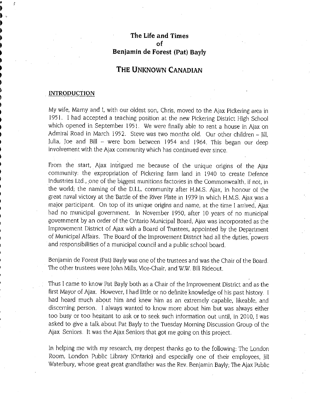#### **The Life and Times of Benjamin de Forest (Pat) Bayly**

### **THE UNKNOWN CANADIAN**

#### **INTRODUCTION**

•

Ŷ.

ŗ

My wife, Marny and I, with our oldest son, Chris, moved to the Ajax Pickering area in 1951. I had accepted a teaching position at the new Pickering District High School which opened in September 1951. We were finally able to rent a house in Ajax on Admiral Road in March 1952. Steve was two months old. Our other children - Jill, Julia, Joe and Bill - were born between 1954 and 1964. This began our deep involvement with the Ajax community which has continued ever since.

From the start, Ajax intrigued me because of the unique origins of the Ajax community: the expropriation of Pickering farm land in 1940 to create Defence Industries Ltd., one of the biggest munitions factories in the Commonwealth, if not, in the world; the naming of the D.l.L. community after H.M.S. Ajax, in honour of the great naval victory at the Battle of the River Plate in 1939 in which H.M.S. Ajax was a major participant. On top of its unique origins and name, at the time I arrived, Ajax had no municipal government. In November 1950, after 10 years of no municipal government by an order of the Ontario Municipal Board, Ajax was incorporated as the Improvement District of Ajax with a Board of Trustees, appointed by the Department of Municipal Affairs. The Board of the Improvement District had all the dµties, 'powers and responsibilities of a municipal council and a public school board.

Benjamin de Forest (Pat) Bayly was one of the trustees and was the Chair of the Board. The other trustees were John Mills, Vice-Chair, and W.W. Bill Rideout.

Thus I came to know Pat Bayly both as a Chair of the Improvement District and as the first Mayor of Ajax. However, I had little or no definite knowledge of his past history. I had heard much about him and knew him as an extremely capable, likeable, and discerning person. I always wanted to know more about him but was always either too busy or too hesitant to ask or to seek such information out until, in 2010, I was asked to give a talk about Pat Bayly to the Tuesday Morning Discussion Group of the Ajax Seniors. It was the Ajax Seniors that got me going on this project.

In helping me with my research, my deepest thanks go to the following: The London Room, London Public Library (Ontario) and especially one of their employees, Jill Waterbury, whose great great grandfather was the Rev. Benjamin Bayly; The Ajax Public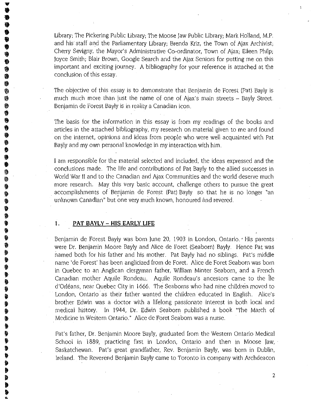Library; The Pickering Public Library; The Moose Jaw Public Library; Mark Holland, M.P. and his staff and the Parliamentary Library; Brenda Kriz, the Town of Ajax Archivist; Cherry Sevigny, the Mayor's Administrative Co-ordinator, Town of Ajax; Eileen Philp; Joyce Smith; Blair Brown, Google Search and the Ajax Seniors for putting me on this important and exciting journey. A bibliography for your reference is attached at the conclusion of this essay.

The objective of this essay is to demonstrate that Benjamin de Forest (Pat) Bayly is much much more than just the name of one of Ajax's main streets -- Bayly Street. Benjamin de Forest Bayly is in reality a Canadian icon.

The basis for the information in this essay is from my readings of the books and articles in the attached bibliography, my research on material given to me and found on the internet, opinions and ideas from people who were well acquainted with Pat Bayly and my own personal knowledge in my interaction with him.

I am responsible for the material selected and included, the ideas expressed and the conclusions made. The life and contributions of Pat Bayly to the allied successes in World War II and to the Canadian and Ajax Communities and the world deserve much more research. May this very basic account, challenge others to pursue the great accomplishments of· Benjamin de Forest (Pat) Bayly so that he is no longer "an unknown Canadian" but one very much known, honoured and revered.

#### I. **PAT BAYLY - HIS EARLY LIFE**

镧

骟 Ø Ø \$ 缴 鵯 隐 \$ 覆 \$ ♦ Ð ₩ 0 0 Ø ß 0 \$ \$

\$<br>\$

0 9 9 ð Ø þ ₿ 9 ļ þ 9 9 ₿ 9 þ ₿ 9 Ø Đ þ Ø ₿ þ

Benjamin de Forest Bayly was born June 20, 1903 in London, Ontario. ' His parents were Dr. Benjamin Moore Bayly and Alice de Foret (Seaborn) Bayly. Hence Pat was named both for his father and his mother. Pat Bayly had no siblings. Pat's middle name 'de Forest' has been anglicized from de Foret. Alice de Foret Seaborn was born in Quebec to an Anglican clergyman father, William Minter Seaborn, and a French Canadian mother Aquile Rondeau. Aquile Rondeau's ancestors came to the le d'Orléans, near Quebec City in 1666. The Seaborns who had nine children moved to London, Ontario as their father wanted the children educated in English. Alice's brother Edwin was a doctor with a lifelong passionate interest in both local and medical history. In 1944, Dr. Edwin Seaborn published a book "The March of Medicine in Western Ontario." Alice de Foret Seaborn was a nurse.

Pat's father, Dr. Benjamin Moore Bayly, graduated from the Western Ontario Medical School in 1889, practicing first in London, Ontario and then in Moose Jaw, Saskatchewan. Pat's great grandfather, Rev. Benjamin Bayly, was born in Dublin, Ireland. The Reverend Benjamin Bayly came to Toronto in company with Archdeacon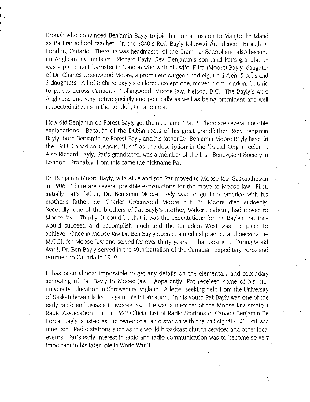Brough who convinced Benjamin Bayly to join him on a mission to Manitoulin Island as its first school teacher. In the I 840's Rev. Bayly followed Archdeacon Brough to London, Ontario. There he was headmaster of the Grammar School and also became an Anglican lay minister. Richard Bayly, Rev. Benjamin's son, .and Pat's grandfather was a prominent barrister in London who with his wife, Eliza (Moore) Bayly, daughter of Dr. Charles Greenwood Moore, a prominent surgeon had eight children, 5 sons and 3 daughters. All of Richard Bayly's children, except one, moved from London, Ontario to places across Canada - CollingWood, Moose Jaw, Nelson, B.C. The Bayly's were Anglicans and very active socially and politically as. well as being·prominent and well respected citizens in the London, Ontario area.

 $\ddot{\phantom{1}}$ 

How did Benjamin de Forest Bayly get the nickname "Pat"? There are several possible explanations. Because of the Dublin roots of his great grandfather, Rev. Benjamin Bayly, both Benjamin de Forest Bayly and his father Dr. Benjamin Moore Bayly have, in the 1911 Canadian Census, "Irish" as the description in the "Racial Origin" column. Also Richard Bayly, Pat's grandfather was a member of the Irish Benevolent Society in London. Probably, from this came the nickname Pat!

Dr. Benjamin Moore Bayly, wife Alice and son Pat moved to Moose Jaw, Saskatchewan in 1906. There are several possible explanations for the move to Moose Jaw. First, initially Pat's father, Dr, Benjamin Moore Bayly was to go into practice with his mother's father, Dr. Charles Greenwood Moore but Dr. Moore died suddenly. Secondly, one of the brothers of Pat Bayly's mother, Walter Seaborn, had moved to Moose Jaw. Thirdly, it could be that it was the expectations for the Baylys that they would succeed and accomplish much and the Canadian West was the place to achieve. Once in Moose Jaw Dr. Ben Bayly opened a medical practice and became the M.O.H. for Moose Jaw and served for over thirty years in that position. *bu*ring World War I, Dr. Ben Bayly served in the 49th battalion of the Canadian Expeditary Force and returned to Canada in 1919.

It has been almost impossible to get any details on the elementary and secondary schooling of Pat Bayly in .Moose Jaw. Apparently, Pat received some of his preuniversity education in Shrewsbury England. A letter seeking help from the University of Saskatchewan failed to gain this information. In his youth Pat Bayly was one of the early radio enthusiasts in Moose Jaw. He was a member of the Moose Jaw Amateur Radio Association. ln the 1922 Official List of Radio Stations of Canada Benjamin De Forest Bayly is listed as the owner of a radio station with the call signal 4EC. Pat was nineteen. Radio stations such as this would broadcast church services and other local events. Pat's early interest in radio and radio communication was to become so very important in his later role in World War IL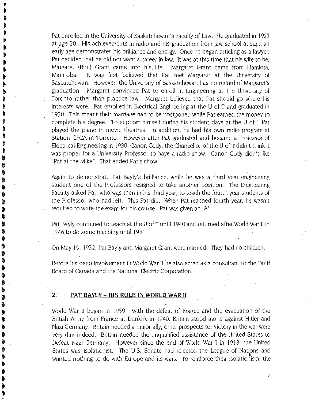Pat enrolled in the University of Saskatchewan's Faculty of Law. He graduated in 1923 at age 20. His. achievements in radio and his graduation from law school at such an early age demonstrates his brilliance and energy. Once he began articling as a lawyer, Pat decided that he did not want a career in law. It was at this time that his wife to be, Margaret (Bun) Grant came into his life. Margaret Grant came from Hamiota, Manitoba. It was first believed that Pat met Margaret at the University of Saskatchewan. However, the University of Saskatchewan has no record of Margaret's graduation. Margaret convinced Pat to enroll in Engineering at the University of Toronto rather than practice law. Margaret believed that Pat should go where his interests were. Pat enrolled in Electrical Engineering at the U of T and graduated in 1930. This meant their marriage had to be postponed while Pat earned the money to complete his degree. To support himself during his student days at the U of T Pat played the piano in movie theatres. ln addition, he had his own radio program at Station CFCA in Toronto. However after Pat graduated and became a Professor of Electrical Engineering in 1930, Canon Cody, the Chancellor of the U of T didn't think it was proper for a University Professor to have a radio show. Canon Cody didn't like "Pat at the Mike". That ended Pat's show.

Again to demonstrate Pat Bayly's brilliance, while he .was a third year engineering student one of the Professors resigned to take another position. The Engineering Faculty asked Pat, who was then in his third year, to teach the fourth year students of the Professor who had left. This Pat did. When Pat reached fourth year, he wasn't required to write the exam for his course. Pat was given an 'A'.

Pat Bayly continued to teach at the U of T until 1940 and returned after World War II in 1946. to do some teaching until 1951.

On May 19, 1932, Pat Bayly and Margaret Grant were married. They had no children.

Before his deep involvement in World War ll he also acted as a consultant to the Tariff Board of Canada and the National Electric Corporation.

#### **2, PAT BAYLY - HIS ROLE IN WORLD WAR II**

ģ,

World War II began in 1939. With the defeat of France and the evacuation of the British Army from France at Dunkirk in 1940, Britain stood alone against Hitler and Nazi Germany. Britain needed a major ally, or its prospects for victory in the war were very dim indeed. Britain needed the unqualified assistance of the United States to Defeat Nazi Germany. However since the end of World War I in 1918, the United States was isolationist. The U.S. Senate had rejected the League of Nations and wanted nothing to do with Europe and its wars. To reinforce their isolationism, the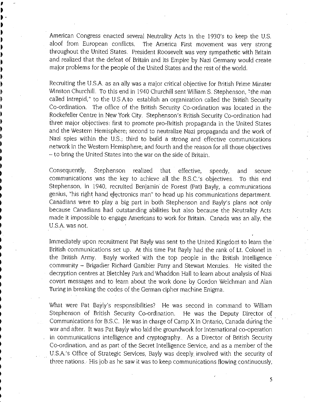American Congress enacted several Neutrality Acts in the 1930's to keep the U.S. aloof from European conflicts. The America First movement was very strong throughout the United States. President Roosevelt was very sympathetic with Britain and realized that the defeat of Britain and its Empire by Nazi Germany would create major problems for the people of the United States and the rest of the world.

Recruiting the U.S.A. as an ally was a major critical objective for British Prime Minster Winston Churchill. To this end in 1940 Churchill sent William S. Stephenson, "the man called intrepid," to the U.SA.to establish an organization called the British Security Co-ordination. The office of the British Security Co-ordination was located in the Rockefeller Centre in New York City. Stephenson's British Security Co-ordination had three major objectives: first to promote pro-British propaganda in the United States and the Western Hemisphere; second to neutralize Nazi propaganda and the work of Nazi spies within the U.S.; third to build a strong and effective communications network in the Western Hemisphere; and fourth and the reason for all those objectives - to bring the United States into the war on the side of Britain.

Consequently, Stephenson realized that effective, speedy, and secure communications was the key to achieve all the B.S.C.'s objectives. To this end Stephenson, in 1940, recruited Benjamin de Forest (Pat) Bayly, a communications genius, "his right hand electronics man" to head up his communications department. Canadians were to play a big part in both Stephenson and Bayly's plans not only because Canadians had outstanding abilities but also because the Neutrality Acts made it impossible to engage Americans to work for Britain. Canada was an ally; the U.S.A. was not.

Immediately upon recruitment Pat Bayly was sent to the United Kingdom to learn the British communications set up. At this time Pat Bayly had the rank of Lt. Colonel in the British Army. Bayly worked· with the top people in the British Intelligence community - Brigadier Richard Gambier Parry and Stewart Menzies. He visited the decryption centres at Bletchley Park and Whaddon Hall to learn about analysis of Nazi covert messages and to learn about the work done by Gordon Welchman and Alan Turing in breaking the codes of the German cipher machine Enigma.

What were Pat Bayly's responsibilities? He was second in command to William Stephenson of British Security Co-ordination. He was the Deputy Director of Communications for B.S.C. He was in charge of Camp X in Ontario, Canada during the · war and after. It was Pat Bayly who laid the groundwork for international co-operation in communications intelligence and cryptography. As a Director of British Security Co-ordination, and as part of the Secret Intelligence Service, and as a member of the . U.S.A.'s Office of Strategic Services, Bayly was deeply involved with the security of three nations. His job as he saw it was to keep communications flowing continuously,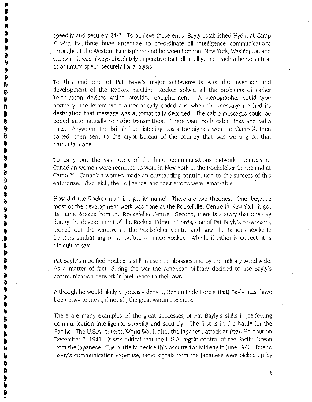speedily and securely 24/7. To achieve these ends, Bayly. established Hydra at Camp X with its. three huge antennae to co-ordinate all intelligence communications throughout the Western Hemisphere and between London, New York, Washington and Ottawa. It was always absolutely imperative that all intelligence reach a home station at optimum speed securely for analysis.

D D þ ð D Ď þ Þ Þ B đ 9 Ø 9 đ Đ þ ŋ ₿ 9 ł 0 ŋ b 9 9 9 9 ₿ Ņ 9 b Ŋ þ b 9 þ ₿ Ŋ þ ş þ 9 þ D 9 D D

To this end one of Pat Bayly's major achievements was the invention and development of the Rockex machine. Rockex solved all the problems of earlier Telekrypton devices which provided encipherment. A stenographer could type normally; the letters were automatically coded and when the message reached its destination that message was automatically decoded. The cable messages could be coded automatically to radio transmitters. There were both cable links and radio links. Anywhere the British had listening posts the signals went to Camp X, then sorted, then sent to the crypt bureau of the country that was working on that particular code.

To carry out the vast work of the huge communications network hundreds of Canadian women were recruited to work in New York at the Rockefeller Centre and at Camp X. Canadian women made an outstanding contribution to the success of this enterprise. Their skill, their diligence, and their efforts were remarkable.

How did the Rockex machine get its name? There are two theories. One, because most of the development work was done at the Rockefeller Centre in New York, it got its name Rockex from the Rockefeller Centre. Second, there is a story that one day during the development of the Rockex, Edmund Travis, one of Pat Bayly's co-workers, looked out the window at the Rockefeller Centre and saw the famous Rockette Dancers sunbathing on a rooftop  $-$  hence Rockex. Which, if either is correct, it is difficult to say.

Pat Bayly's modified Rockex is still in use in embassies and by the military world wide. As a matter of fact, during the war the American Military decided to use Bayly's communication network in preference to their own.

Although he would likely vigorously deny it, Benjamin de Forest (Pat) Bayly must have been privy to most, if not all, the great wartime secrets.

There are many examples of the great successes of Pat Bayly's skills in perfecting communication intelligence speedily and securely. The first is in the battle for the Pacific. The U.S.A. entered World War II after the Japanese attack at Pearl Harbour on December 7, 1941. It was critical that the U.S.A. regain control of the Pacific Ocean from the Japanese. The battle fo decide this occurred at Midway in June 1942. Due to • Bayly's communication expertise, radio signals from the Japanese were picked up by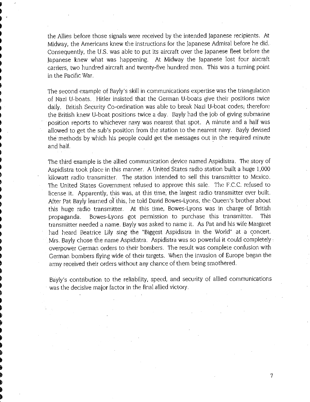the Allies before those signals were received by the intended Japanese recipients. At Midway, the Americans knew the instructions for the Japanese Admiral before he did. Consequently, the U.S. was able to put its aircraft over the Japanese fleet before the Japanese knew what was happening. At Midway the Japanese lost four aircraft carriers, two hundred aircraft and twenty-five hundred men. This was a turning point in the Pacific War.

The second example of Bayly's skill in communications expertise was the triangulation of Nazi U,boats. Hitler insisted that the German U-boats give their positions twice daily. British Security Co-ordination was able to break Nazi U-boat codes; therefore the British knew U-boat positions twice a day. Bayly had the job of giving submarine position reports to whichever navy was nearest that spot. A minute and a half was allowed to get the sub's position from the station to the nearest navy. Bayly devised the methods by which his people could get the messages out in the required minute and half.

The third example is the allied communication device named Aspidistra. The story of Aspidistra took place in this manner. A United States radio station built a huge 1,000 kilowatt radio transmitter. The station intended to sell this transmitter to Mexico. The United States Government refused to approve this sale. The F.C.C. refused to license it. Apparently, this was, at this time, the largest radio transmitter ever built. After Pat Bayly learned o'f'this, he told David Bowes-Lyons, the Queen's brother about this huge radio transmitter. At this time, Bowes-Lyons was in charge of British propaganda. Bowes-Lyons got permission to purchase this transmitter. This transmitter needed a name. Bayly was asked to name it. As Pat and his wife Margaret had heard Beatrice Lily sing the "Biggest Aspidistra in the World" at a concert. Mrs. Bayly chose the name Aspidistra. Aspidistra was so powerful it could completely· overpower German orders to their bombers. The result was complete confusion with German bombers flying wide of their targets. When the invasion of Europe began the army received their orders without any chance of them being smothered.

Bayly's contribution to the reliability, speed, and security of allied communications was the decisive major factor in the final allied victory.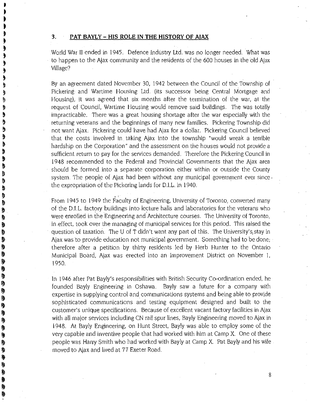#### **3. PAT BAYLY- HIS ROLE IN THE HISTORY OF AfAX**

þ

þ þ b ķ þ þ ļ. þ þ b þ, þ þ

.<br>9

サンチン リングション アンドラ

World War II ended in 1945. Defence Industry Ltd. was no longer needed. What was to happen to the Ajax community and the residents of the 600 houses in the old Ajax Village?

By an agreement dated November 30, 1942 between the Council of the Township of Pickering and Wartime Housing Ltd. (its successor being Central Mortgage and Housing), it was agreed that six months after the termination of the war, at the request of Council, Wartime Housing would remove said buildings. The was totally impracticable. There was a great housing shortage after the war especially with the returning veterans and the beginnings of many new families. Pickering Township did not want Ajax. Pickering could have had Ajax for a dollar. Pickering Council believed that the costs involved in taking Ajax into the township "would wreak a terrible hardship on the Corporation" and the assessment on the houses would not provide a sufficient return to pay for the services demanded. Therefore the Pickering Council in 1948 recommended to the Federal and Provincial Governments that the Ajax area should be formed into a separate corporation either within or outside the County system. The people of Ajax had been without any municipal government ever since. the expropriation of the Pickering lands for D.1.L. in 1940.

From 1945 to 1949 the Faculty of Engineering, University of Toronto, converted many of the D.l.L. factory buildings into lecture halls and laboratories for the veterans who were enrolled in the Engineering and Architecture courses. The University of Toronto. in effect, took over the managing of municipal services for this period. This raised the question of taxation. The U of T didn't want any part of this. The University's.stay in Ajax was to provide education not municipal government. Something had to be done; therefore after a petition by thirty residents led by Herb Hunter to the Ontario Municipal Board, Ajax was erected into an Improvement District on November 1, 1950.

In 1946 after Pat Bayly's responsibilities with British Security Co-ordination ended, he founded Bayly Engineering in Oshawa. Bayly saw a future for a company with expertise in supplying control and communications systems and being able to provide sophisticated communications and testing equipment designed and built to the customer's unique specifications. Because of excellent vacant factory facilities in Ajax with all major services including CN rail spur lines, Bayly Engineering moved to Ajax in 1948. At Bayly Engineering, on Hunt Street, Bayly was able to employ some of the very capable and inventive people that had worked with him at Camp X. One of these people was Harry Smith who had worked with Bayly at Camp X. Pat Bayly and his wife moved to Ajax and lived at 77 Exeter Road.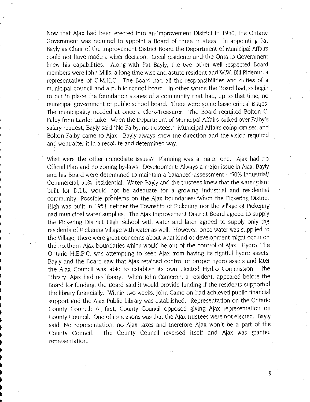Now that Ajax had been erected into an Improvement District in 1950, the Ontario Government was required to appoint a Board of three trustees. In appointing Pat Bayly as Chair of the Improvement District Board the Department of Municipal Affairs could not have made a wiser decision. Local residents and the Ontario Government knew his capabilities. Along with Pat Bayly, the two other well respected Board members were John Mills, a long time wise and astute resident and W.W. Bill Rideout, a representative of C.M.H.C. The Board had all the responsibilities and duties of a municipal council and a public school board. **In** other words the Board had.to begin . to put in place the foundation stones of a community that had, up to that time, no municipal government or public school board. There were some basic critical issues. The municipality needed at once a Clerk-Treasurer. The Board recruited Bolton C. Falby from Larder Lake. When the Department of Municipal Affairs balked over Falby's salary request, Bayly said "No Falby, no trustees." Municipal Affairs compromised and Bolton Falby came to Ajax. Bayly always knew the direction and the vision required and went after **it** in a resolute and determined way.

 $\mathbf{v}$ 

What were the other immediate issues? Planning was a major one. Ajax had no Official Plan and no zoning by-laws. Development: Always a major issue in Ajax, Bayly and his Board were determined to maintain a balanced assessment - 50% Industrial/ Commercial, 50% residential, Water: Bayly and the trustees knew that the water plant built for D.l.L. would not be adequate for a growing industrial and residential community. Possible problems on the Ajax boundaries: When the Pickering District High was built in 1951 neither the Township of Pickering nor the village of Pickering had municipal water supplies. The Ajax Improvement District Board agreed to supply the Pickering District High School with water and later agreed to supply only the residents of Pickering Village with water as well. However, once water was supplied to the Village, there were great concerns about what kind of development might occur on the northern Ajax boundaries which would be out of the control of Ajax. Hydro: The Ontario H.E.P.C. was attempting to keep Ajax from having its rightful hydro assets. Bayly and the Board saw that Ajax retained control of proper hydro assets and later the Ajax Council was able to establish its own elected Hydro Commission. The Library: Ajax had no library. When John Cameron, a resident, appeared before the Board for funding, the Board said it would provide funding if the residents supported the library financially. Within two weeks, John Cameron had achieved public financial support and the Ajax Public Library was established. Representation on the Ontario County Council: At\_ first, County Council opposed giving Ajax representation on County Council. One of its reasons was that the Ajax trustees were not elected. Bayly said: No representation, no Ajax taxes and therefore Ajax won't be a part of the County Council. The County Council reversed itself and Ajax was granted representation.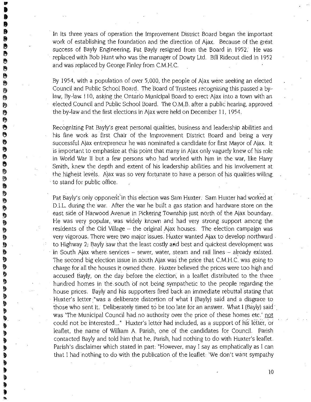In its three years of operation the Improvement District Board began the important work of establishing the foundation and the direction of Ajax. Because of the great success of Bayly Engineering, Pat Bayly resigned from the Board in 1952. He was replaced with Bob Hunt who was the manager of Dowty Ltd. Bill Rideout died in 1952 and was replaced by George Finley from C.M.H.C.

D ₿ D D ₿ D P ₿ P D ß B 胁 Þ P ß Ò  $\Theta$ Ø O Ø 0 ņ 9 Ø Đ D Ø 9 Þ ø đ 0 9 0 9 đ 9 9 Đ 9 þ 0 9 þ þ þ ģ, Ģ ₿ þ þ

By 1954, with a population of over 5,000, the people of Ajax were seeking an elected Council and Public School Board. The Board of Trustees recognizing this passed a bylaw, By-law 110, asking the Ontario Municipal Board to erect Ajax into a town with an elected Council and Public School Board. The O.M.B after a public hearing, approved the by-law and the first elections in Ajax were held on December 11, 1954.

Recognizing Pat Bayly's great personal qualities, business and leadership abilities and his fine work as first Chair of the Improvement District Board and being a very successful Ajax entrepreneur he was nominated a candidate for first Mayor of Ajax. It is important to emphasize at this point that many in Ajax only vaguely knew of his role in World War II but a few persons who had worked with him in the war, like Harry Smith, knew the depth and extent of his leadership abilities and his involvement at the highest levels. Ajax was so very fortunate to have a person of his qualities willing. to stand for public office.

Pat Bayly's only opponent in this election was Sam Huxter. Sam Huxter had worked at D.l.L. during the war. After the war he built a gas station and hardware store on the east side of Harwood Avenue in Pickering Township just north of the Ajax boundary. He was very popular, was widely known and had very strong support among the residents of the Old Village – the original Ajax houses. The election campaign was very vigorous. There were two major issues. Huxter wanted Ajax to develop northward to Highway 2; Bayly saw that the least costly and best and quickest development was in South Ajax where services – sewer, water, steam and rail lines – already existed. The second big election issue in south Ajax was the price that C.M.H.C. was going to charge for all the houses it owned there. Huxter believed the prices were too high and accused Bayly, on the day before the election, in a leaflet distributed to the three hundred homes in the south of not being sympathetic to the people regarding the house prices. Bayly and his supporters fired back an immediate rebuttal stating that Huxter's letter "was a deliberate distortion of what I (Bayly) said and a disgrace to those who sent it. Deliberately timed to be too late for an answer. What I (Bayly) said was 'The Municipal Council had.no authority over the price of these homes etc.' not could not be interested..." Huxter's letter had included, as a support of his letter, or leaflet, the name of William A. Parish, one of the candidates for Council. Parish contacted Bayly and told him that he, Parish, had nothing to do with Huxter's leaflet. Parish's disclaimer which stated in part: "However, may I say as emphatically as 1can that 1 had nothing to do with the publication of the leaflet: 'We don't want sympathy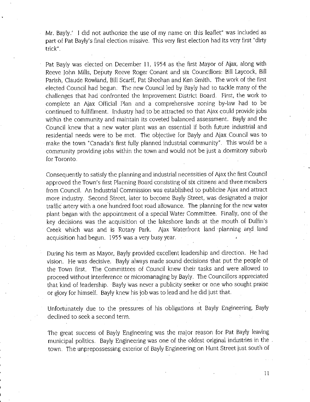Mr. Bayly.' I did not authorize the use of my name on this leaflet" was included as part of Pat Bayly's final election missive. This very first election had its very first "dirty trick".

Pat Bayly was elected on December 11, 1954 as the first Mayor of Ajax, along with Reeve John Mills, Deputy Reeve Roger Conant and six Councillors: Bill Laycock, Bill Parish, Claude Rowland, Bill Scarff, Pat Sheehan and Ken Smith. The work of the first elected Council had begun. The new Council led by Bayly had to tackle many of the challenges that had confronted the Improvement District Board. First, the work to complete an Ajax Official Plan and a comprehensive zoning by-law had to be continued to fulfillment. Industry had to be attracted so that Ajax could provide jobs within the community and maintain its coveted balanced assessment. Bayly and the Council knew that a new water plant was an essential if both future industrial and residential needs were to be met. The objective for Bayly and Ajax Council was to make the town "Canada's first fully planned industrial community". This would be a community providing jobs within the town and would not be just a dormitory suburb for Toronto.

Consequently to satisfy the planning and industrial necessities of Ajax the first Council approved the Town's first Planning Board consisting of six citizens and three members from Council. An Industrial Commission was established to publicize Ajax and attract more industry. Second Street, later to become Bayly Street, was designated a major traffic artery with a one hundred foot road allowance. The planning for the new water plant began with the appointment of a special Water Committee. Finally, one of the key decisions was the acquisition of the lakeshore lands at the mouth of Duffin's Creek which was and is Rotary Park. Ajax Waterfront land planning and land acquisition had begun. 1955 was a very busy year.

During his term as Mayor, Bayly provided excellent leadership and direction. He had vision. He was decisive. Bayly always made sound decisions that put the people of the Town first. The Committees of Council knew their tasks and were allowed to proceed without interference or micromanaging by Bayly. The Councillors appreciated that kind of leadership. Bayly was never a publicity seeker or one who sought praise or glory for himself. Bayly knew his job was to lead and he did just that.

Unfortunately due to the pressures of his obligations at Bayly Engineering, Bayly declined to seek a second term.

The great success of Bayly Engineering was the major reason for Pat Bayly leaving municipal politics. Bayly Engineering was one of the oldest original industries in the . town. The unprepossessing exterior of Bayly Engineering on Hunt Street just south of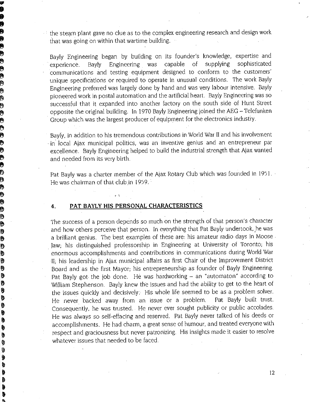$\pm$  the steam plant gave no clue as to the complex engineering research and design work that was going on within that wartime building.

Bayly Engineering began by building on its founder's knowledge, expertise and experience. Bayly Engineering was capable of supplying sophisticated communications and testing equipment designed to conform to the customers' unique specifications or required to operate in unusual conditions. The work Bayly Engineering preferred was largely done by hand and was very labour intensive. Bayly pioneered work in postal automation and the artificial heart. Bayly Engineering was so successful that it expanded into another factorv on the south side of Hunt Street opposite the original building. In 1970 Bayly Engineering joined the AEG - Telefunken · Group which was the largest producer of equipment for the electronics industry.

Bayly, in addition to his tremendous contributions in World War II and his involvement •in local Ajax municipal politics, was an inventive genius and an entrepreneur par excellence. Bayly Engineering helped to build the industrial strength that Ajax wanted and needed from its very birth.

Pat Bayly was a charter member of the Ajax Rotary Club which was founded in 1951. He was chairman of that club in 1959.

#### **4. PAT BAYLY HIS PERSONAL CHARACTERISTICS**

\$\$\$\$\$\$\$\$\$\$\$\$\$\$\$\$\$\$\$\$\$\$\$\$\$\$\$\$\$\$\$

めゅうりょ

もうも

đ 0 þ 9 0 þ 0 Ð 0 0 \$ þ ₿ ₿ Đ

The success of a person depends so much on the strength of that person's character and how others perceive that person. In everything that Pat Bayly undertook, he was a brilliant genius. The best examples of these are: his amateur radio days in Moose . Jaw; his distinguished professorship in Engineering at University of Toronto; his enormous accomplishments and contributions in communications during World War 11; his leadership in Ajax municipal affairs as first Chair of the Improvement District Board and as the first Mayor; his entrepreneurship as founder of Bayly Engineering. Pat Bayly got the job done. He was hardworking - an "automaton" according to William Stephenson. Bayly knew the issues and had the ability to get to the heart of the issues quickly and decisively: His whole life seemed to be as a problem solver. He never backed away from an issue or a problem. Pat Bayly built trust. Consequently, he was trusted. He never ever sought publicity or public accolades. He was always so self-effacing and reserved. Pat Bayly never talked of his deeds or accomplishments. He had charm, a great sense of humour, and treated everyone with respect and graciousness but never patronizing. His insights made it easier to resolve whatever issues that needed to be faced.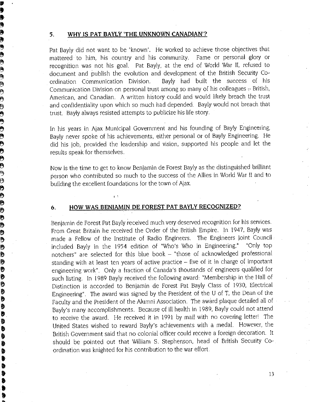#### **5. WHY IS PAT BAYLY 'THE UNKNOWN CANADIAN'?**

Pat Bayly did not want to be 'known'. He worked to achieve thdse objectives that mattered to him, his country and his community. Fame or personal glory or recognition was not his goal. Pat Bayly, at the end of World War II, refused to document and publish the evolution and development of the British Security Coordination Communication Division. Bayly had built the success of his Communication Division on personal trust among so many of his colleagues $-$  British, American, and Canadian. A written history could and would likely breach the trust and confidentiality upon which so much had depended. Bayly would not breach that trust. Bayly always resisted attempts to publicize his life story.

In his years in Ajax Municipal Government and his founding of Bayly Engineering, Bayly never spoke of his achievements, either personal or of Bayly Engineering. He did his job, provided the leadership and vision, supported his people and let the results speak for themselves.

Now is the time to get to know Benjamin de Forest Bayly as the distinguished brilliant person who contributed so much to the success of the Allies in World War ll and to building the excellent foundations for the town of Ajax.

#### **6. HOW WAS BENJAMIN DE FOREST PAT BAYLY RECOGNIZED?**

..

りつうもうもう

めゆり

þ Đ

ð<br>D

þ D 9 b þ ₿ ₿ ₿ ₿ ₿ þ 9 þ

Benjamin de Forest Pat Bayly received much very deserved recognition for his services. From Great Britain he received the Order of the British Empire. In 1947, Bayly was made a Fellow of the Institute of Radio Engineers. The Engineers Joint Council included Bayly in the 1954 edition of "Who's Who in Engineering." "Only top notchers" are selected for this blue book - "those of acknowledged professional standing with at least ten years of active practice - five of it in charge of important engineering work". Only a fraction of Canada's thousands of engineers qualified for such listing. In 1989 Bayly received the following award: "Membership in the Hall of Distinction is accorded to Benjamin de Forest Pat Bayly Class of 1930, Electrical Engineering". The award was signed by the President of the U of T, the Dean of the Faculty and the President of the Alumni Association. The award plaque detailed all of Bayly's many accomplishments. Because of ill health in 1989, Bayly could not attend to receive the award. He received it in 1991 by mail with no covering letter! The United States wished to reward Bayly's achievements with a medal. However, the British Government said that no colonial officer could receive a foreign decoration. It should be pointed out that William S. Stephenson, head of British Security Coordination was knighted for his contribution to the war effort.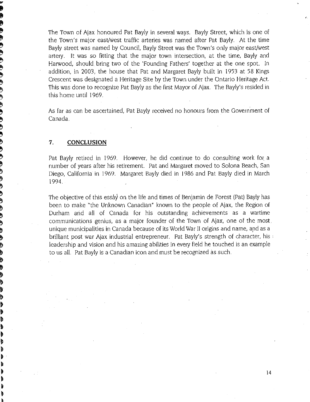The Town of Ajax honoured Pat Bayly in several ways. Bayly Street, which is one of the Town's major east/west traffic arteries was named after Pat Bayly. At the time Bayly street was named by Council, Bayly Street was the Town's only major east/west artery. It was so fitting that the major town intersection, at the time, Bayly and Harwood, should. bring two of the 'Founding Fathers' together at the one spot. In addition, in 2003, the house that Pat and Margaret Bayly built in 1953 at 58 Kings Crescent was designated a Heritage Site by the Town under the Ontario Heritage Act. This was done to recognize Pat Bayly as the first Mayor of Ajax. The Bayly's resided in this home until 1969.

As far as can be ascertained, Pat Bayly received no honours from the Govemment of Canada.

#### **7. CONCLUSION**

"<br>"

7992392929292929292929

Pat Bayly retired in 1969. However, he did continue to do consulting work for a number of years after his retirement. Pat and Margaret moved to Solona Beach, San Diego, California in 1969. Margaret Bayly died in 1986 and Pat Bayly died in March 1994.

The objective of this essay on the life and times of Benjamin de Forest (Pat) Bayly has been to make "the Unknown Canadian" known to the people of Ajax, the Region of Durham and all of Canada for his outstanding achievements as a wartime communications genius, as a major founder of the Town of Ajax, one of the most. unique municipalities in Canada because of its World War II origins and name, and as a brilliant post war Ajax industrial entrepreneur. Pat Bayly's strength of character, his leadership and vision and his amazing abilities in every field he touched is an example to us all. Pat Bayly is a Canadian icon and must be recognized as such.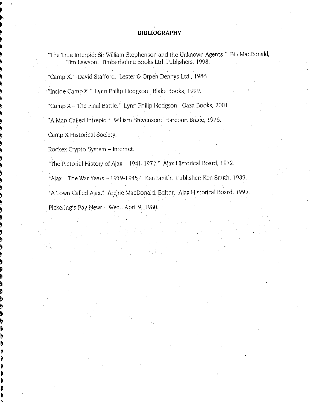#### **BIBLIOGRAPHY**

"The True Interpid: Sir William Stephenson and the Unknown Agents." Bill MacDonald, Tim Lawson. Timberholme Books Ltd. Publishers, I 998 .

. "Camp X." David Stafford. Lester & Orpen Dennys Ltd., 1986.

"Inside CampX." Lynn Philip Hodgson. Blake Books, 1999.

"Camp X-The Final Battle." Lynn Philip Hodgson. Gaza Books, 2001.

**"A** Man Called Intrepid." William Stevenson. Harcourt Brace, 1976.

Camp X Historical Society.

•

Rockex Crypto System - Internet.

"The Pictorial History of Ajax - 1941-1972." Ajax Historical Board, 1972.

"Ajax - The War Years - 1939-1945." Ken Smith. Publisher: Ken Smith, 1989.

"A Town Called Ajax." Archie MacDonald, Editor. Ajax Historical Board, 1995.  $^{\circ}$  . Pickering's Bay News - Wed., April 9, 1980.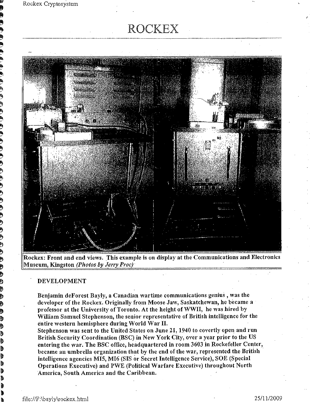Rockex Cryptosystem

## **ROCKEX**



Rockex: Front and end views. This example is on display at the Communications and Electronics Museum, Kingston *(Photos by Jerry Proc)* 

#### DEVELOPMENT

Benjamin deForest Bayly, a Canadian wartime communications genius, was the developer of the Rockex. Originally from Moose Jaw, Saskatchewan, he became a professor at the University of Toronto. At the height of WWII, he was hired by William Samuel Stephenson, the senior representative of British intelligence for the entire western hemisphere during World War II.

Stephenson was sent to the United States on June 21, 1940 to covertly open and run British Security Coordination (BSC) in New York City, over a year prior to the US entering the war. The BSC office, headquartered in room 3603 in Rockefeller Center, became an umbrella organization that by the end of the war, represented the British intelligence agencies MI5, MI6 (SIS or Secret Intelligence Service), SOE (Special Operations Executive) and PWE (Political Warfare Executive) throughout North America, South America and the Caribbean.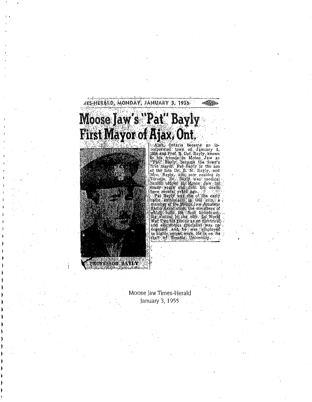# **Moose Jaw's "Pat" Bayly** First Mayor of Ajax, Ont.

AES HERALD, MONDAY, JANUARY 3, 1953.



Alaxie Ontario Became an incorporated town of January 1, 1984 and Prot. B. Det Bayly, known to his friends in Moose Jaw as friends in Moose Jaw as friends in Moose Jaw as friends in the late Dr. B. M. Bayly, and Mrs. Bayly

**Allia** 

Moose Jaw Times-Herald January 3, 1955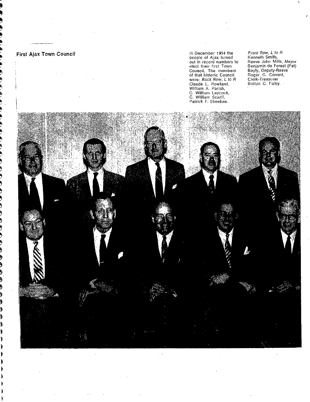#### **First Ajax Town Council**

people of Ajax turned out in record numbers to elect their first Town Council. The members of that historic Council were: Back Row, L to R Claude L. Rowland, William A. Parish, C. William Laycock, C. William Scarff, Patrick F. Sheehan.

F*rant* Row, L to R Kenneth Smith, Reeve John Mills, Mayor Benjamin de Forest (Pat) Bayly, Deputy-Reeve Roger G. Conant, Clerk-Treasurer Bolton C. Falby.

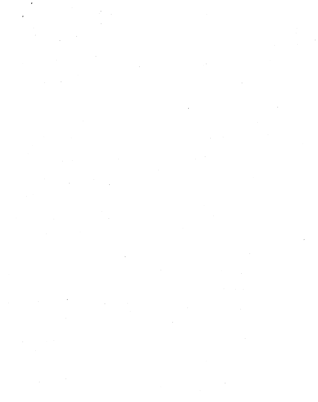$\label{eq:2.1} \frac{1}{2} \sum_{i=1}^n \frac{1}{2} \sum_{j=1}^n \frac{1}{2} \sum_{j=1}^n \frac{1}{2} \sum_{j=1}^n \frac{1}{2} \sum_{j=1}^n \frac{1}{2} \sum_{j=1}^n \frac{1}{2} \sum_{j=1}^n \frac{1}{2} \sum_{j=1}^n \frac{1}{2} \sum_{j=1}^n \frac{1}{2} \sum_{j=1}^n \frac{1}{2} \sum_{j=1}^n \frac{1}{2} \sum_{j=1}^n \frac{1}{2} \sum_{j=1}^n \frac{$ 

 $\label{eq:2.1} \frac{1}{\sqrt{2}}\int_{\mathbb{R}^3}\frac{1}{\sqrt{2}}\left(\frac{1}{\sqrt{2}}\right)^2\frac{1}{\sqrt{2}}\left(\frac{1}{\sqrt{2}}\right)^2\frac{1}{\sqrt{2}}\left(\frac{1}{\sqrt{2}}\right)^2\frac{1}{\sqrt{2}}\left(\frac{1}{\sqrt{2}}\right)^2.$ 

 $\label{eq:2.1} \frac{1}{\sqrt{2\pi}}\sum_{i=1}^n\frac{1}{\sqrt{2\pi}}\sum_{i=1}^n\frac{1}{\sqrt{2\pi}}\sum_{i=1}^n\frac{1}{\sqrt{2\pi}}\sum_{i=1}^n\frac{1}{\sqrt{2\pi}}\sum_{i=1}^n\frac{1}{\sqrt{2\pi}}\sum_{i=1}^n\frac{1}{\sqrt{2\pi}}\sum_{i=1}^n\frac{1}{\sqrt{2\pi}}\sum_{i=1}^n\frac{1}{\sqrt{2\pi}}\sum_{i=1}^n\frac{1}{\sqrt{2\pi}}\sum_{i=1}^n\$